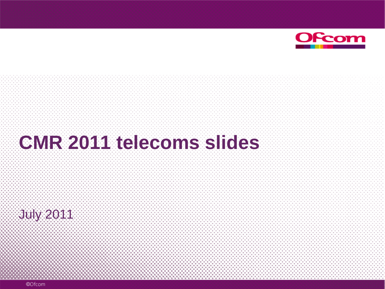

# **CMR 2011 telecoms slides**

July 2011

©Ofcom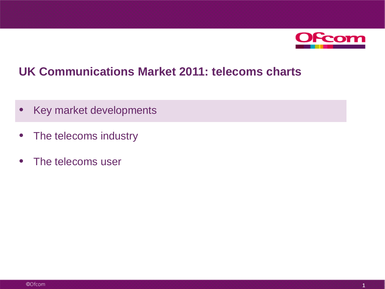

## **UK Communications Market 2011: telecoms charts**

- Key market developments
- The telecoms industry
- The telecoms user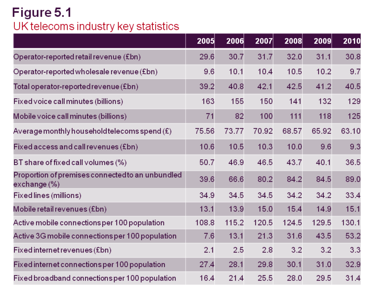# Figure 5.1 UK telecoms industry key statistics

|                                                                  | 2005  | 2006  | 2007  | 2008  | 2009  | 2010  |
|------------------------------------------------------------------|-------|-------|-------|-------|-------|-------|
| Operator-reported retail revenue (£bn)                           | 29.6  | 30.7  | 31.7  | 32.0  | 31.1  | 30.8  |
| Operator-reported wholesale revenue $(\text{\pounds}bn)$         | 9.6   | 10.1  | 10.4  | 10.5  | 10.2  | 9.7   |
| Total operator-reported revenue (£bn)                            | 39.2  | 40.8  | 42.1  | 42.5  | 41.2  | 40.5  |
| Fixed voice call minutes (billions)                              | 163   | 155   | 150   | 141   | 132   | 129   |
| Mobile voice call minutes (billions)                             | 71    | 82    | 100   | 111   | 118   | 125   |
| Average monthly household telecoms spend $(E)$                   | 75.56 | 73.77 | 70.92 | 68.57 | 65.92 | 63.10 |
| Fixed access and call revenues (Ebn)                             | 10.6  | 10.5  | 10.3  | 10.0  | 9.6   | 9.3   |
| BT share of fixed call volumes $(\%)$                            | 50.7  | 46.9  | 46.5  | 43.7  | 40.1  | 36.5  |
| Proportion of premises connected to an unbundled<br>exchange (%) | 39.6  | 66.6  | 80.2  | 84.2  | 84.5  | 89.0  |
| Fixed lines (millions)                                           | 34.9  | 34.5  | 34.5  | 34.2  | 34.2  | 33.4  |
| Mobile retail revenues (£bn)                                     | 13.1  | 13.9  | 15.0  | 15.4  | 14.9  | 15.1  |
| Active mobile connections per 100 population                     | 108.8 | 115.2 | 120.5 | 124.5 | 129.5 | 130.1 |
| Active 3G mobile connections per 100 population                  | 7.6   | 13.1  | 21.3  | 31.6  | 43.5  | 53.2  |
| $Fixed$ internet revenues (£bn)                                  | 2.1   | 2.5   | 2.8   | 3.2   | 3.2   | 3.3   |
| Fixed internet connections per 100 population                    | 27.4  | 28.1  | 29.8  | 30.1  | 31.0  | 32.9  |
| Fixed broadband connections per 100 population                   | 16.4  | 21.4  | 25.5  | 28.0  | 29.5  | 31.4  |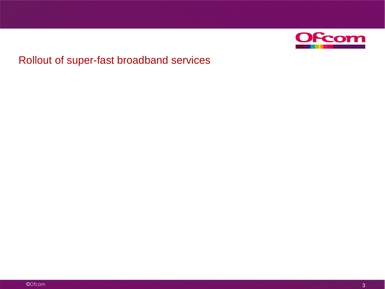

## Rollout of super-fast broadband services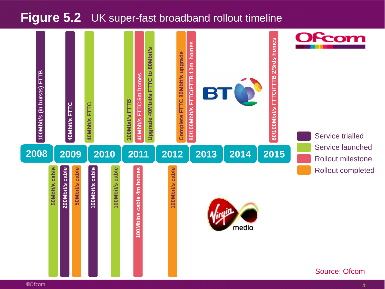## **Figure 5.2** UK super-fast broadband rollout timeline

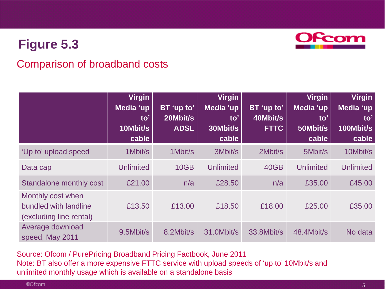

#### Comparison of broadband costs

|                                                                       | <b>Virgin</b><br>Media 'up<br>to'<br>10Mbit/s<br>cable | BT 'up to'<br>20Mbit/s<br><b>ADSL</b> | <b>Virgin</b><br>Media 'up<br>to'<br>30Mbit/s<br>cable | BT 'up to'<br>40Mbit/s<br><b>FTTC</b> | <b>Virgin</b><br>Media 'up<br>to'<br>50Mbit/s<br>cable | <b>Virgin</b><br>Media 'up<br>$\mathbf{to}^{\prime}$<br>100Mbit/s<br>cable |
|-----------------------------------------------------------------------|--------------------------------------------------------|---------------------------------------|--------------------------------------------------------|---------------------------------------|--------------------------------------------------------|----------------------------------------------------------------------------|
| 'Up to' upload speed                                                  | 1Mbit/s                                                | 1Mbit/s                               | 3Mbit/s                                                | 2Mbit/s                               | 5Mbit/s                                                | 10Mbit/s                                                                   |
| Data cap                                                              | <b>Unlimited</b>                                       | <b>10GB</b>                           | <b>Unlimited</b>                                       | 40GB                                  | <b>Unlimited</b>                                       | <b>Unlimited</b>                                                           |
| <b>Standalone monthly cost</b>                                        | £21.00                                                 | n/a                                   | £28.50                                                 | n/a                                   | £35.00                                                 | £45.00                                                                     |
| Monthly cost when<br>bundled with landline<br>(excluding line rental) | £13.50                                                 | £13.00                                | £18.50                                                 | £18.00                                | £25.00                                                 | £35.00                                                                     |
| Average download<br>speed, May 2011                                   | 9.5Mbit/s                                              | 8.2Mbit/s                             | 31.0Mbit/s                                             | 33.8Mbit/s                            | 48.4Mbit/s                                             | No data                                                                    |

Source: Ofcom / PurePricing Broadband Pricing Factbook, June 2011 Note: BT also offer a more expensive FTTC service with upload speeds of 'up to' 10Mbit/s and unlimited monthly usage which is available on a standalone basis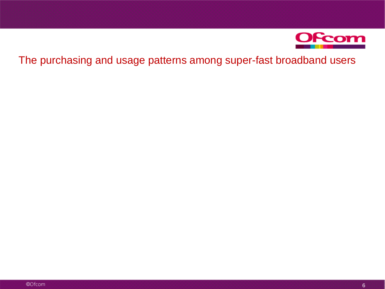

#### The purchasing and usage patterns among super-fast broadband users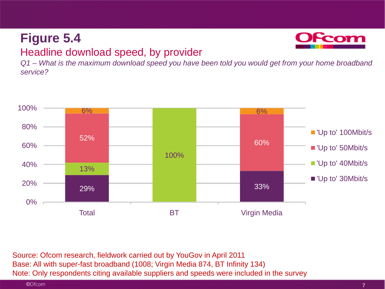## **Figure 5.4** Headline download speed, by provider



*Q1 – What is the maximum download speed you have been told you would get from your home broadband service?*



Source: Ofcom research, fieldwork carried out by YouGov in April 2011 Base: All with super-fast broadband (1008; Virgin Media 874, BT Infinity 134) Note: Only respondents citing available suppliers and speeds were included in the survey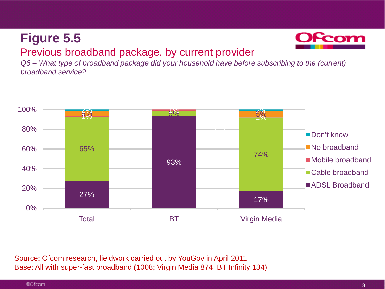

### Previous broadband package, by current provider

*Q6 – What type of broadband package did your household have before subscribing to the (current) broadband service?* 



Source: Ofcom research, fieldwork carried out by YouGov in April 2011 Base: All with super-fast broadband (1008; Virgin Media 874, BT Infinity 134)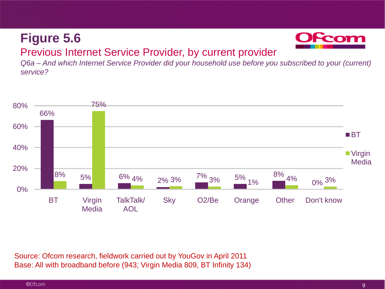

## Previous Internet Service Provider, by current provider

*Q6a – And which Internet Service Provider did your household use before you subscribed to your (current) service?* 



Source: Ofcom research, fieldwork carried out by YouGov in April 2011 Base: All with broadband before (943; Virgin Media 809, BT Infinity 134)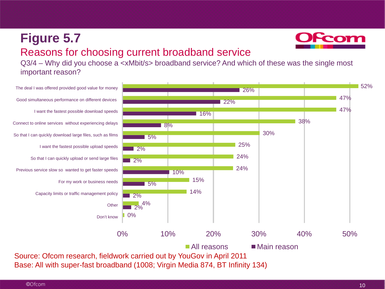## **Figure 5.7** Reasons for choosing current broadband service

Q3/4 – Why did you choose a <xMbit/s> broadband service? And which of these was the single most important reason?



Form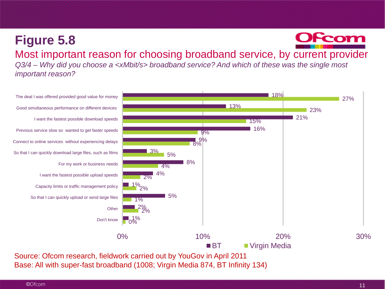#### **OFcom Figure 5.8** Most important reason for choosing broadband service, by current provider *Q3/4 – Why did you choose a <xMbit/s> broadband service? And which of these was the single most important reason?*



Base: All with super-fast broadband (1008; Virgin Media 874, BT Infinity 134)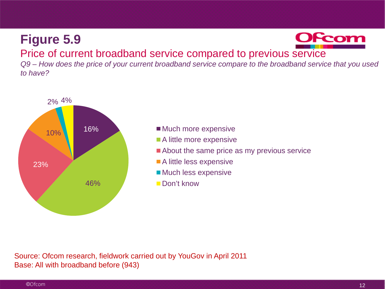

#### Price of current broadband service compared to previous service

*Q9 – How does the price of your current broadband service compare to the broadband service that you used to have?* 



- **Much more expensive**
- A little more expensive
- About the same price as my previous service
- A little less expensive
- **Much less expensive**
- Don't know

Source: Ofcom research, fieldwork carried out by YouGov in April 2011 Base: All with broadband before (943)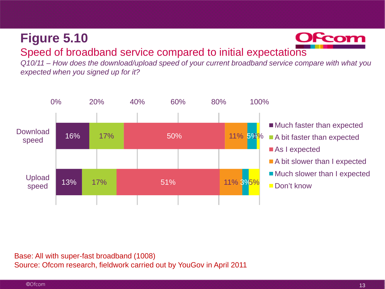

#### Speed of broadband service compared to initial expectations

*Q10/11 – How does the download/upload speed of your current broadband service compare with what you expected when you signed up for it?* 



Base: All with super-fast broadband (1008) Source: Ofcom research, fieldwork carried out by YouGov in April 2011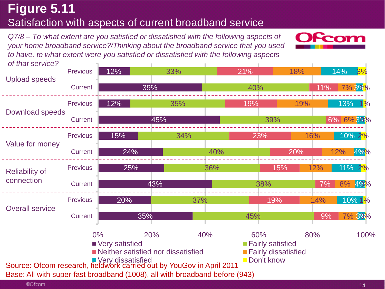## **Figure 5.11** Satisfaction with aspects of current broadband service

*Q7/8 – To what extent are you satisfied or dissatisfied with the following aspects of your home broadband service?/Thinking about the broadband service that you used to have, to what extent were you satisfied or dissatisfied with the following aspects* 



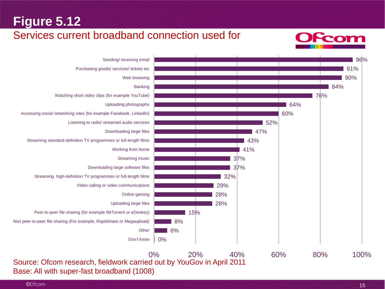#### Services current broadband connection used for





Base: All with super-fast broadband (1008)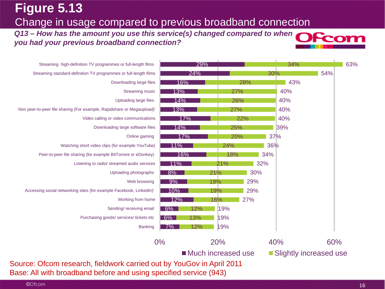## **Figure 5.13** Change in usage compared to previous broadband connection

**Q13 – How has the amount you use this service(s) changed compared to when <b>OCOM** *you had your previous broadband connection?* 



| Streaming high-definition TV programmes or full-length films           |              | 29%        |                      |     | 34% |                        |
|------------------------------------------------------------------------|--------------|------------|----------------------|-----|-----|------------------------|
| Streaming standard-definition TV programmes or full-length films       | 24%          |            |                      | 30% |     | 54%                    |
| Downloading large files                                                | 16%          |            | 28%                  |     | 43% |                        |
| <b>Streaming music</b>                                                 | 13%          |            | 27%                  |     | 40% |                        |
| Uploading large files                                                  | 14%          |            | 26%                  |     | 40% |                        |
| Non peer-to-peer file sharing (For example, Rapidshare or Megaupload)' | 13%          |            | 27%                  |     | 40% |                        |
| Video calling or video communications                                  | 17%          |            | 22%                  |     | 40% |                        |
| Downloading large software files                                       | 14%          |            | 25%                  |     | 39% |                        |
| Online gaming                                                          | 17%          |            | 20%                  | 37% |     |                        |
| Watching short video clips (for example YouTube)                       | 11%          |            | 24%                  | 36% |     |                        |
| Peer-to-peer file sharing (for example BitTorrent or eDonkey)          | 16%          |            | 18%                  | 34% |     |                        |
| Listening to radio/ streamed audio services                            | 11%          | 21%        |                      | 32% |     |                        |
| Uploading photographs                                                  | 8%           | 21%        |                      | 30% |     |                        |
| Web browsing                                                           | 9%           | 19%        | 29%                  |     |     |                        |
| Accessing social networking sites (for example Facebook, LinkedIn)'    | 10%          | 19%        | 29%                  |     |     |                        |
| Working from home                                                      | 12%          | 16%        | 27%                  |     |     |                        |
| Sending/receiving email                                                | $6\%$        | 12%<br>19% |                      |     |     |                        |
| Purchasing goods/ services/ tickets etc                                | $6\%$<br>13% | 19%        |                      |     |     |                        |
| <b>Banking</b>                                                         | 7%           | 12%<br>19% |                      |     |     |                        |
|                                                                        | $0\%$        | 20%        |                      | 40% |     | 60%                    |
|                                                                        |              |            | ■ Much increased use |     |     | Slightly increased use |

Source: Ofcom research, fieldwork carried out by YouGov in April 2011 Base: All with broadband before and using specified service (943)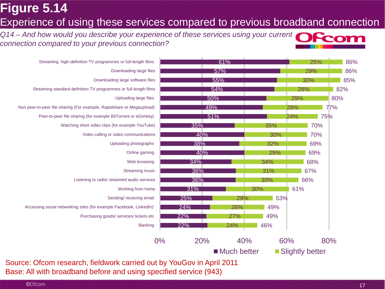## **Figure 5.14** Experience of using these services compared to previous broadband connection

*Q14 – And how would you describe your experience of these services using your current connection compared to your previous connection?* 





Source: Ofcom research, fieldwork carried out by YouGov in April 2011 Base: All with broadband before and using specified service (943)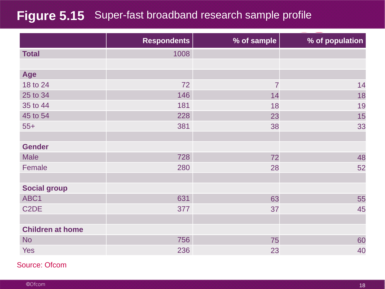## **Figure 5.15** Super-fast broadband research sample profile

|                         | <b>Respondents</b> | % of sample    | % of population |
|-------------------------|--------------------|----------------|-----------------|
| <b>Total</b>            | 1008               |                |                 |
|                         |                    |                |                 |
| Age                     |                    |                |                 |
| 18 to 24                | 72                 | $\overline{7}$ | 14              |
| 25 to 34                | 146                | 14             | 18              |
| 35 to 44                | 181                | 18             | 19              |
| 45 to 54                | 228                | 23             | 15              |
| $55+$                   | 381                | 38             | 33              |
|                         |                    |                |                 |
| <b>Gender</b>           |                    |                |                 |
| <b>Male</b>             | 728                | 72             | 48              |
| Female                  | 280                | 28             | 52              |
|                         |                    |                |                 |
| <b>Social group</b>     |                    |                |                 |
| ABC1                    | 631                | 63             | 55              |
| C <sub>2</sub> DE       | 377                | 37             | 45              |
|                         |                    |                |                 |
| <b>Children at home</b> |                    |                |                 |
| <b>No</b>               | 756                | 75             | 60              |
| <b>Yes</b>              | 236                | 23             | 40              |

Source: Ofcom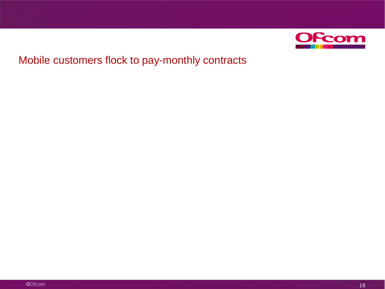

### Mobile customers flock to pay-monthly contracts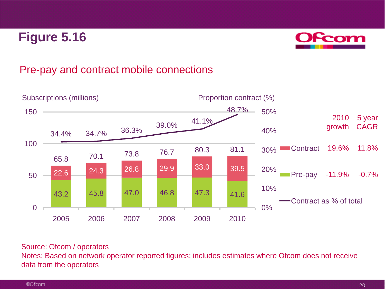

### Pre-pay and contract mobile connections



#### Source: Ofcom / operators

Notes: Based on network operator reported figures; includes estimates where Ofcom does not receive data from the operators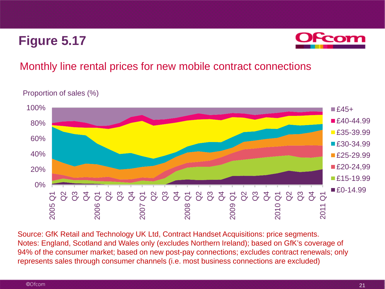

#### Monthly line rental prices for new mobile contract connections

Proportion of sales (%)



Source: GfK Retail and Technology UK Ltd, Contract Handset Acquisitions: price segments. Notes: England, Scotland and Wales only (excludes Northern Ireland); based on GfK's coverage of 94% of the consumer market; based on new post-pay connections; excludes contract renewals; only represents sales through consumer channels (i.e. most business connections are excluded)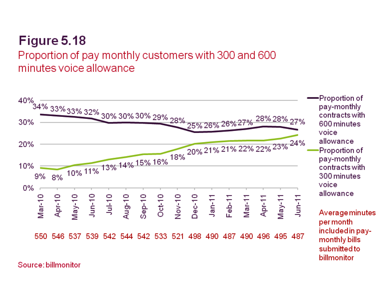## Proportion of pay monthly customers with 300 and 600 minutes voice allowance



Source: billmonitor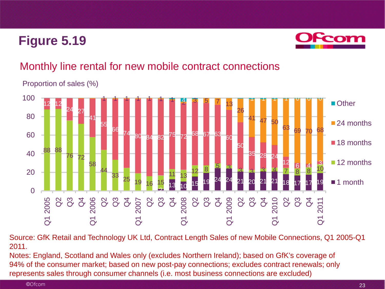

## Monthly line rental for new mobile contract connections

Proportion of sales (%)



Source: GfK Retail and Technology UK Ltd, Contract Length Sales of new Mobile Connections, Q1 2005-Q1 2011.

Notes: England, Scotland and Wales only (excludes Northern Ireland); based on GfK's coverage of 94% of the consumer market; based on new post-pay connections; excludes contract renewals; only represents sales through consumer channels (i.e. most business connections are excluded)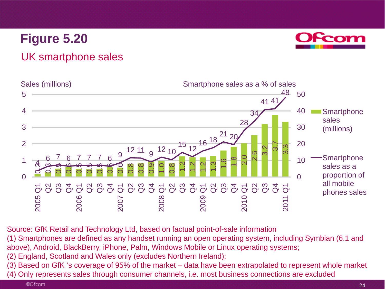

#### UK smartphone sales



Source: GfK Retail and Technology Ltd, based on factual point-of-sale information

(1) Smartphones are defined as any handset running an open operating system, including Symbian (6.1 and above), Android, BlackBerry, iPhone, Palm, Windows Mobile or Linux operating systems;

- (2) England, Scotland and Wales only (excludes Northern Ireland);
- (3) Based on GfK 's coverage of 95% of the market data have been extrapolated to represent whole market
- (4) Only represents sales through consumer channels, i.e. most business connections are excluded

©Ofcom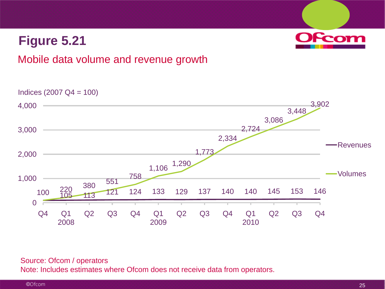

#### Mobile data volume and revenue growth

Indices (2007 Q4 = 100)



#### Source: Ofcom / operators

Note: Includes estimates where Ofcom does not receive data from operators.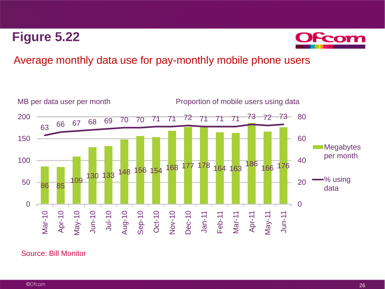

#### Average monthly data use for pay-monthly mobile phone users



#### Source: Bill Monitor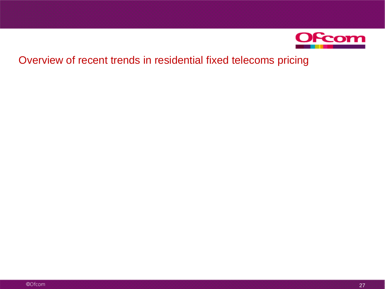

## Overview of recent trends in residential fixed telecoms pricing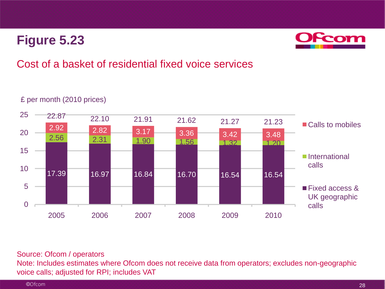

## Cost of a basket of residential fixed voice services

#### 17.39 16.97 16.84 16.70 16.54 16.54 2.56 2.31 1.90 1.56 3.42 3.40  $\begin{array}{|c|c|c|c|c|c|}\n\hline\n2.92 & 2.82 & 3.17 & 3.36 & 3.42 & 3.48 \\
\hline\n2.56 & 3.24 & 3.28 & 3.48 & 3.48 & 3.48 & 3.48 & 3.48 & 3.48 & 3.48 & 3.48 & 3.48 & 3.48 & 3.48 & 3.48 & 3.48 & 3.48 & 3.48 & 3.48 & 3.48 & 3.48 & 3.48 & 3.48 & 3.48 & 3.48 & 3.48 & 3$ 22.87 22.10 21.91 21.62 21.27 21.23  $\Omega$ 5 10 15 20 25 2005 2006 2007 2008 2009 2010 ■ Calls to mobiles **International** calls **Fixed access &** UK geographic calls

#### £ per month (2010 prices)

#### Source: Ofcom / operators

Note: Includes estimates where Ofcom does not receive data from operators; excludes non-geographic voice calls; adjusted for RPI; includes VAT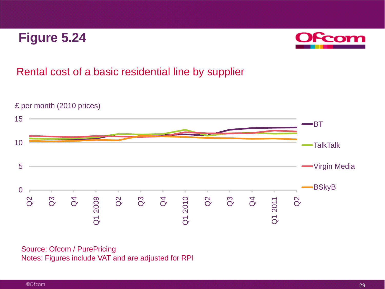

#### Rental cost of a basic residential line by supplier



Source: Ofcom / PurePricing Notes: Figures include VAT and are adjusted for RPI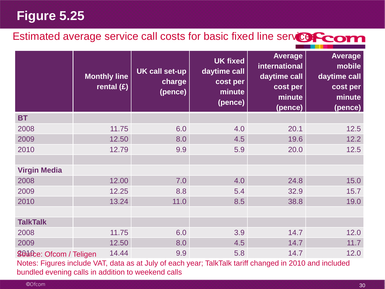## Estimated average service call costs for basic fixed line service Com

|                                | <b>Monthly line</b><br>rental $(E)$ | <b>UK call set-up</b><br>charge<br>(pence) | <b>UK fixed</b><br>daytime call<br>cost per<br>minute<br>(pence) | <b>Average</b><br>international<br>daytime call<br>cost per<br>minute<br>(pence) | <b>Average</b><br>mobile<br>daytime call<br>cost per<br>minute<br>(pence) |
|--------------------------------|-------------------------------------|--------------------------------------------|------------------------------------------------------------------|----------------------------------------------------------------------------------|---------------------------------------------------------------------------|
| <b>BT</b>                      |                                     |                                            |                                                                  |                                                                                  |                                                                           |
| 2008                           | 11.75                               | 6.0                                        | 4.0                                                              | 20.1                                                                             | 12.5                                                                      |
| 2009                           | 12.50                               | 8.0                                        | 4.5                                                              | 19.6                                                                             | 12.2                                                                      |
| 2010                           | 12.79                               | 9.9                                        | 5.9                                                              | 20.0                                                                             | 12.5                                                                      |
|                                |                                     |                                            |                                                                  |                                                                                  |                                                                           |
| <b>Virgin Media</b>            |                                     |                                            |                                                                  |                                                                                  |                                                                           |
| 2008                           | 12.00                               | 7.0                                        | 4.0                                                              | 24.8                                                                             | 15.0                                                                      |
| 2009                           | 12.25                               | 8.8                                        | 5.4                                                              | 32.9                                                                             | 15.7                                                                      |
| 2010                           | 13.24                               | 11.0                                       | 8.5                                                              | 38.8                                                                             | 19.0                                                                      |
|                                |                                     |                                            |                                                                  |                                                                                  |                                                                           |
| <b>TalkTalk</b>                |                                     |                                            |                                                                  |                                                                                  |                                                                           |
| 2008                           | 11.75                               | 6.0                                        | 3.9                                                              | 14.7                                                                             | 12.0                                                                      |
| 2009                           | 12.50                               | 8.0                                        | 4.5                                                              | 14.7                                                                             | 11.7                                                                      |
| <b>300fce: Ofcom / Teligen</b> | 14.44                               | 9.9                                        | 5.8                                                              | 14.7                                                                             | 12.0                                                                      |

Notes: Figures include VAT, data as at July of each year; TalkTalk tariff changed in 2010 and included bundled evening calls in addition to weekend calls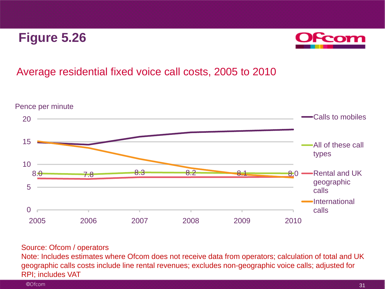

### Average residential fixed voice call costs, 2005 to 2010



#### Source: Ofcom / operators

Note: Includes estimates where Ofcom does not receive data from operators; calculation of total and UK geographic calls costs include line rental revenues; excludes non-geographic voice calls; adjusted for RPI; includes VAT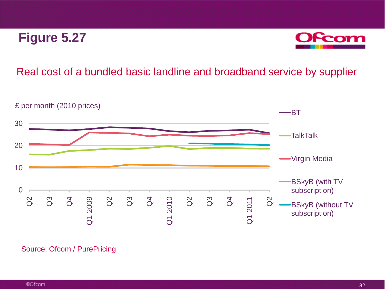

#### Real cost of a bundled basic landline and broadband service by supplier



#### Source: Ofcom / PurePricing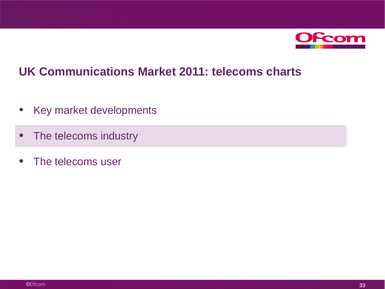

## **UK Communications Market 2011: telecoms charts**

- Key market developments
- The telecoms industry
- The telecoms user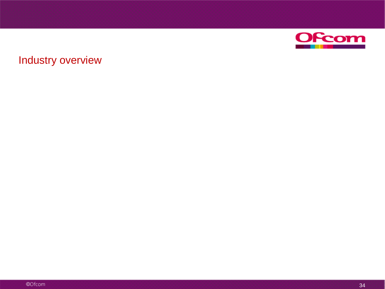

## Industry overview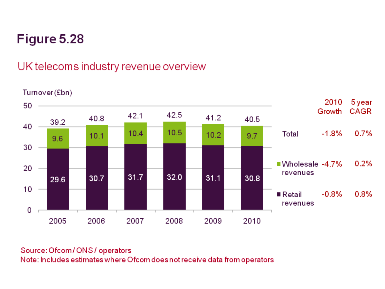## UK telecoms industry revenue overview

Turnover (£bn) 5 year 2010 50 Growth **CAGR** 42.5 42.1 41.2 40.8 40.5 39.2 40 10.5  $0.7%$ 10.4 Total  $-1.8%$  $10.2$  $10.1$  $9.7$ 9.6 30  $0.2%$  $\blacksquare$  Wholesale -4.7% 20 revenues  $32.0$  $31.7$  $31.1$ 30.7 30.8 29.6  $10$  $-0.8%$  $0.8%$  $\blacksquare$  Retail revenues 0 2005 2006 2008 2009 2010 2007

#### Source: Ofcom / ONS / operators Note: Includes estimates where Ofcom does not receive data from operators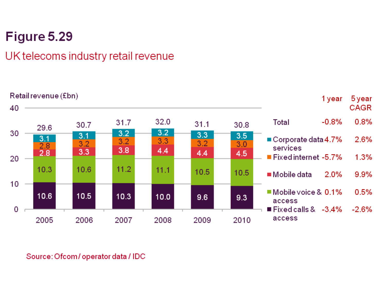## UK telecoms industry retail revenue



Source: Ofcom/operator data / IDC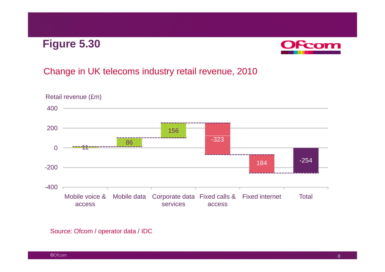## **Figure 5 30 5.30**



### Change in UK telecoms industry retail revenue, 2010



Source: Ofcom / operator data / IDC

©Ofcom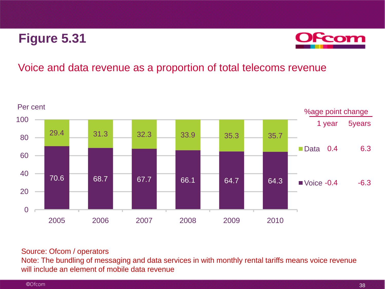

#### Voice and data revenue as a proportion of total telecoms revenue



#### Source: Ofcom / operators

Note: The bundling of messaging and data services in with monthly rental tariffs means voice revenue will include an element of mobile data revenue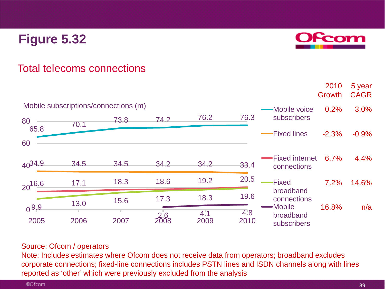

2010

5 year

### Total telecoms connections

|                                      |      |      |                    |             |             |                          | Growth  | <b>CAGR</b> |
|--------------------------------------|------|------|--------------------|-------------|-------------|--------------------------|---------|-------------|
| Mobile subscriptions/connections (m) |      |      |                    |             |             | <b>Mobile voice</b>      | 0.2%    | 3.0%        |
| 80                                   | 70.1 | 73.8 | 74.2               | 76.2        | 76.3        | subscribers              |         |             |
| 65.8                                 |      |      |                    |             |             | -Fixed lines             | $-2.3%$ | $-0.9%$     |
| 60                                   |      |      |                    |             |             |                          |         |             |
| 4034.9                               | 34.5 | 34.5 | 34.2               | 34.2        | 33.4        | -Fixed internet          | 6.7%    | 4.4%        |
|                                      |      |      |                    |             |             | connections              |         |             |
| $20^{16.6}$                          | 17.1 | 18.3 | 18.6               | 19.2        | 20.5        | <b>Fixed</b>             | 7.2%    | 14.6%       |
|                                      |      | 15.6 | 17.3               | 18.3        | 19.6        | broadband<br>connections |         |             |
| $0^{9,9}$                            | 13.0 |      |                    |             |             | -Mobile                  | 16.8%   | n/a         |
| 2005                                 | 2006 | 2007 | $\frac{2.6}{2008}$ | 4:1<br>2009 | 4.8<br>2010 | broadband<br>subscribers |         |             |

#### Source: Ofcom / operators

Note: Includes estimates where Ofcom does not receive data from operators; broadband excludes corporate connections; fixed-line connections includes PSTN lines and ISDN channels along with lines reported as 'other' which were previously excluded from the analysis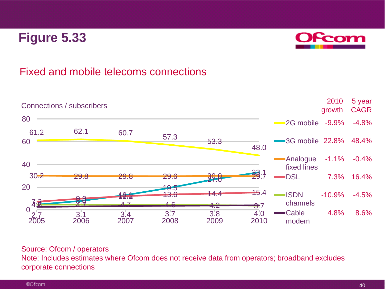

### Fixed and mobile telecoms connections



#### Source: Ofcom / operators

Note: Includes estimates where Ofcom does not receive data from operators; broadband excludes corporate connections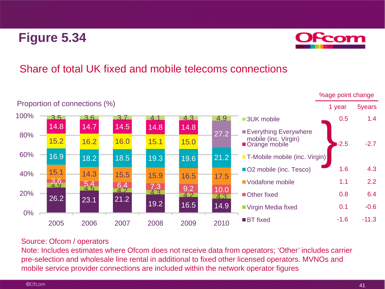

### Share of total UK fixed and mobile telecoms connections



#### Source: Ofcom / operators

Note: Includes estimates where Ofcom does not receive data from operators; 'Other' includes carrier pre-selection and wholesale line rental in additional to fixed other licensed operators. MVNOs and mobile service provider connections are included within the network operator figures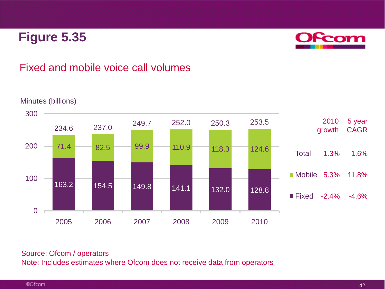

### Fixed and mobile voice call volumes



#### Minutes (billions)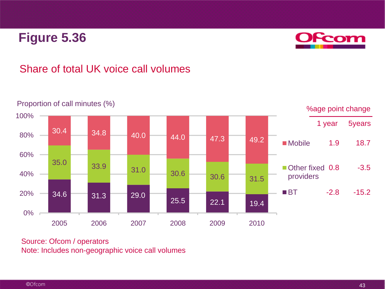

### Share of total UK voice call volumes



Source: Ofcom / operators Note: Includes non-geographic voice call volumes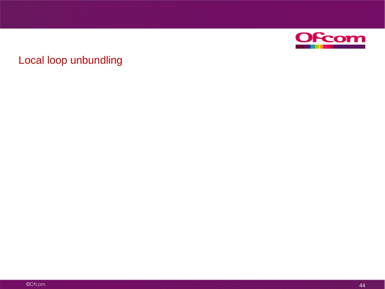

### Local loop unbundling

©Ofcom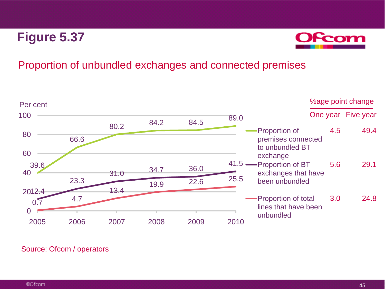

#### Proportion of unbundled exchanges and connected premises

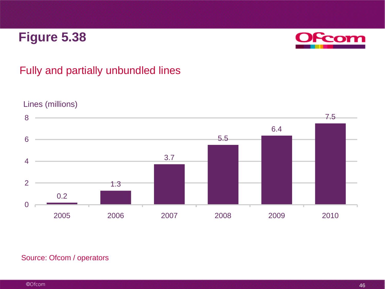

### Fully and partially unbundled lines



#### Lines (millions)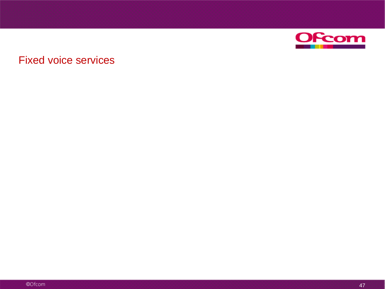

### Fixed voice services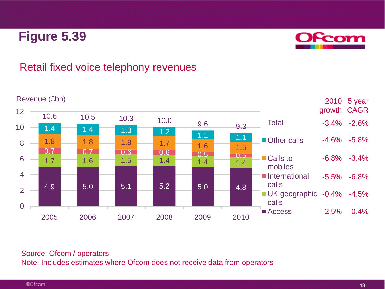

### Retail fixed voice telephony revenues

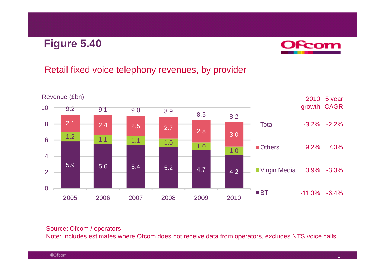## **Figure 5 40 5.40**



### Retail fixed voice telephony revenues, by provider



#### Source: Ofcom / operators

Note: Includes estimates where Ofcom does not receive data from operators, excludes NTS voice calls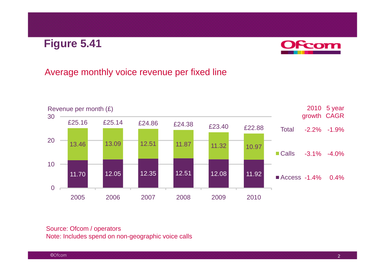## **Figure 5 41 5.41**



### Average monthly voice revenue per fixed line



Source: Ofcom / operators Note: Includes spend on non-geographic voice calls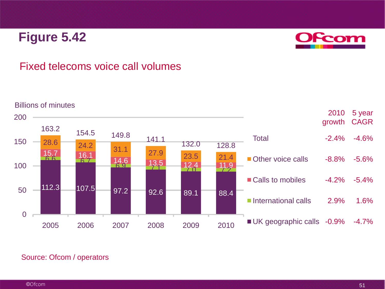

### Fixed telecoms voice call volumes



#### Billions of minutes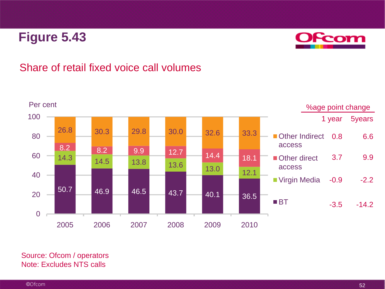

#### Share of retail fixed voice call volumes



Source: Ofcom / operators Note: Excludes NTS calls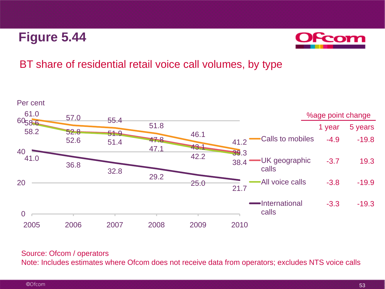

### BT share of residential retail voice call volumes, by type



#### Source: Ofcom / operators

Note: Includes estimates where Ofcom does not receive data from operators; excludes NTS voice calls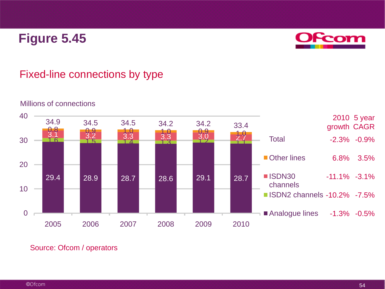

### Fixed-line connections by type



#### Millions of connections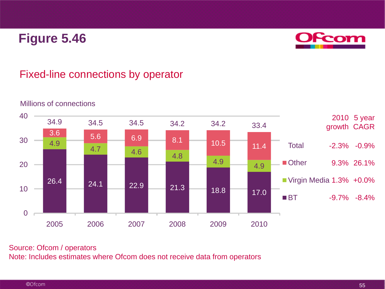

### Fixed-line connections by operator



#### Millions of connections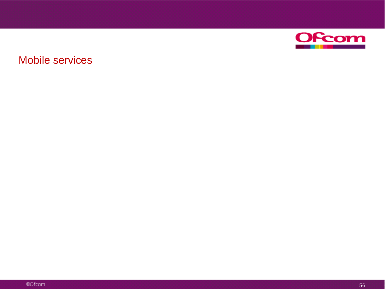

### Mobile services

©Ofcom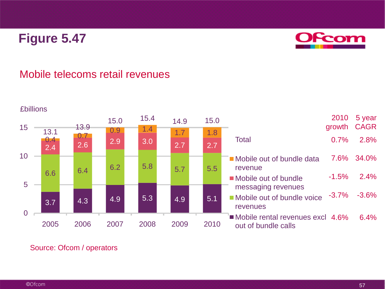

#### Mobile telecoms retail revenues



#### ©Ofcom

57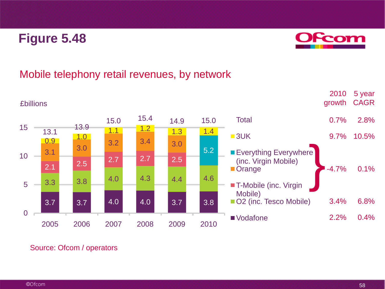

### Mobile telephony retail revenues, by network

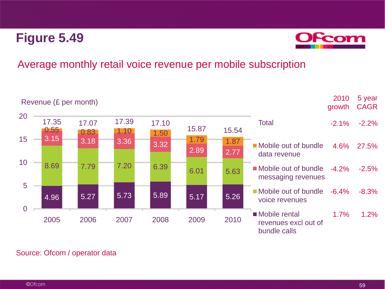

### Average monthly retail voice revenue per mobile subscription



#### Source: Ofcom / operator data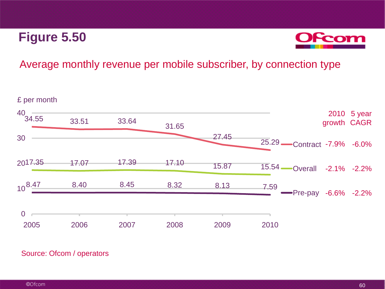

### Average monthly revenue per mobile subscriber, by connection type

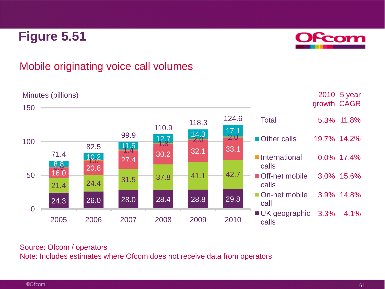

#### Mobile originating voice call volumes

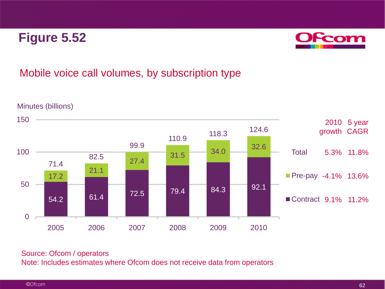

### Mobile voice call volumes, by subscription type



Minutes (billions)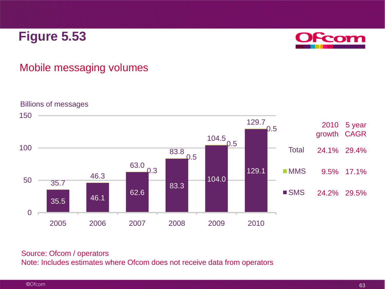

### Mobile messaging volumes

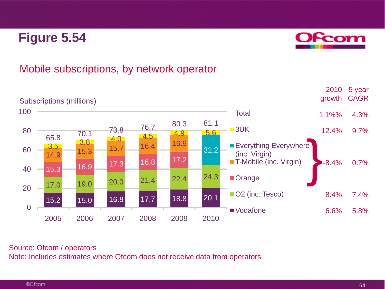

### Mobile subscriptions, by network operator

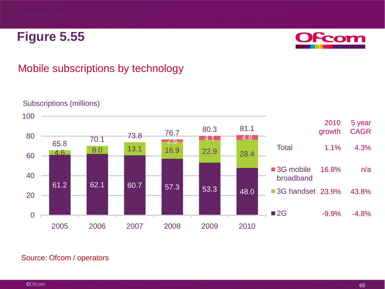

### Mobile subscriptions by technology



#### Subscriptions (millions)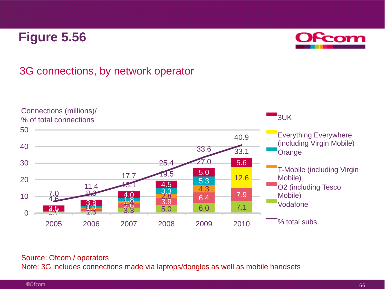

### 3G connections, by network operator



#### Source: Ofcom / operators

Note: 3G includes connections made via laptops/dongles as well as mobile handsets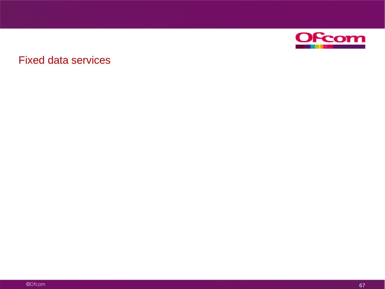

### Fixed data services

©Ofcom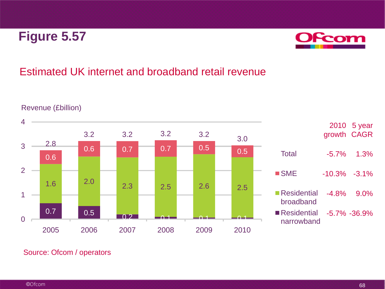

### Estimated UK internet and broadband retail revenue



#### Revenue (£billion)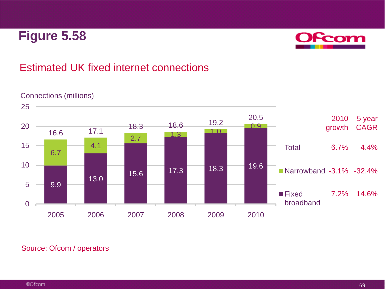

### Estimated UK fixed internet connections



#### Connections (millions)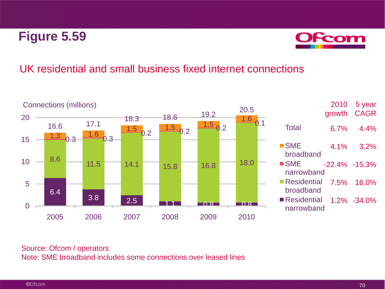

### UK residential and small business fixed internet connections



#### Source: Ofcom / operators Note: SME broadband includes some connections over leased lines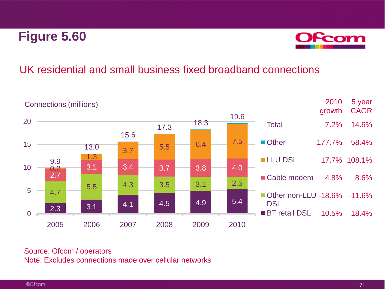

### UK residential and small business fixed broadband connections



#### Source: Ofcom / operators Note: Excludes connections made over cellular networks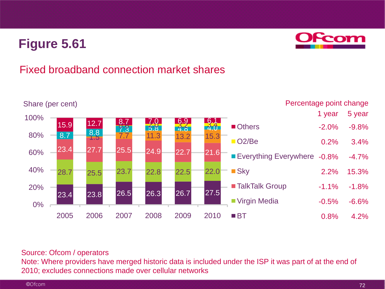

### Fixed broadband connection market shares



#### Source: Ofcom / operators

Note: Where providers have merged historic data is included under the ISP it was part of at the end of 2010; excludes connections made over cellular networks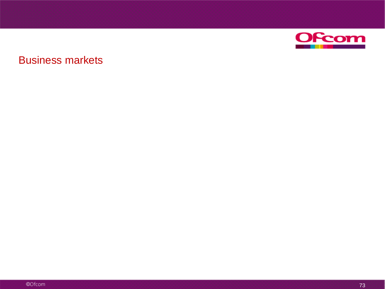

### Business markets

©Ofcom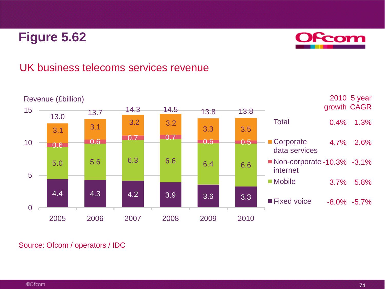

### UK business telecoms services revenue



Source: Ofcom / operators / IDC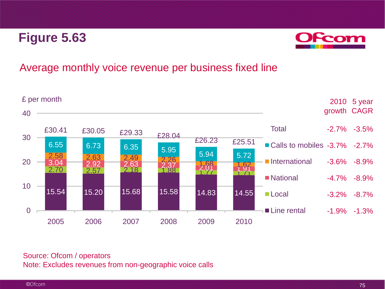

### Average monthly voice revenue per business fixed line



#### Source: Ofcom / operators Note: Excludes revenues from non-geographic voice calls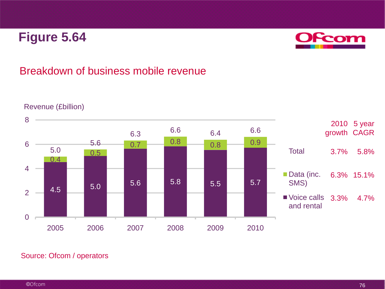

### Breakdown of business mobile revenue



#### Revenue (£billion)

Source: Ofcom / operators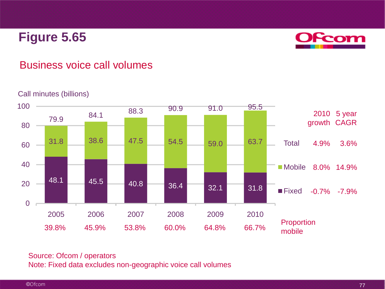

### Business voice call volumes

#### Call minutes (billions)



#### Source: Ofcom / operators Note: Fixed data excludes non-geographic voice call volumes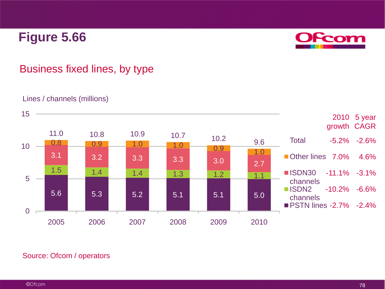

## Business fixed lines, by type

#### Lines / channels (millions)



#### Source: Ofcom / operators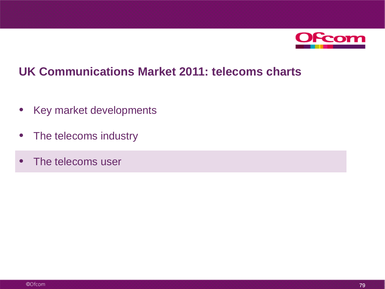

## **UK Communications Market 2011: telecoms charts**

- Key market developments
- The telecoms industry
- The telecoms user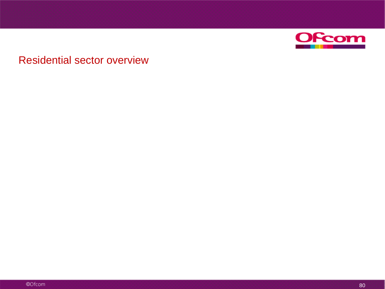

### Residential sector overview

©Ofcom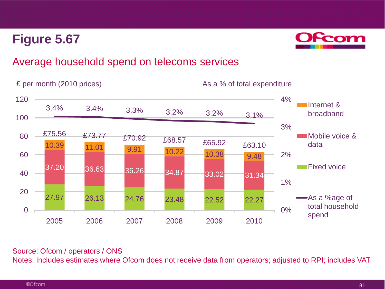

### Average household spend on telecoms services



#### Source: Ofcom / operators / ONS

Notes: Includes estimates where Ofcom does not receive data from operators; adjusted to RPI; includes VAT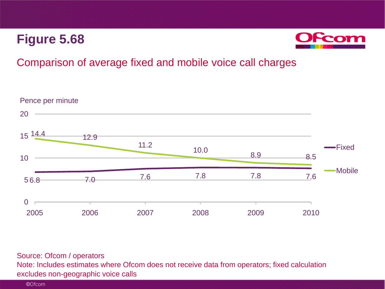

### Comparison of average fixed and mobile voice call charges



Source: Ofcom / operators Note: Includes estimates where Ofcom does not receive data from operators; fixed calculation excludes non-geographic voice calls

©Ofcom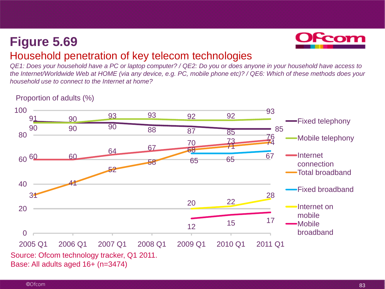Proportion of adults (%)



### Household penetration of key telecom technologies

*QE1: Does your household have a PC or laptop computer? / QE2: Do you or does anyone in your household have access to the Internet/Worldwide Web at HOME (via any device, e.g. PC, mobile phone etc)? / QE6: Which of these methods does your household use to connect to the Internet at home?*

#### Source: Ofcom technology tracker, Q1 2011. 91 90 90 90 90 88 87 85 76 85 93 92 92 93 60 60 60 64 67 70 73 74<br>64 67 68 73 31 41 52 58  $\frac{70}{68}$  74 <sup>65</sup> <sup>65</sup> <sup>67</sup> 20 22 28 <sup>12</sup> <sup>15</sup> <sup>17</sup> 0 20 40 80 100 2005 Q1 2006 Q1 2007 Q1 2008 Q1 2009 Q1 2010 Q1 2011 Q1 Fixed telephony Mobile telephony Internet connection Total broadband Fixed broadband Internet on mobile Mobile broadband

Base: All adults aged 16+ (n=3474)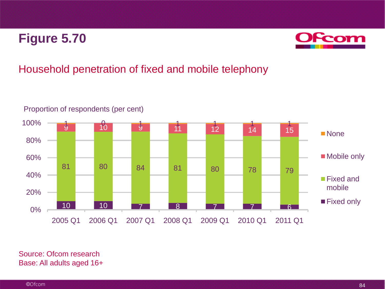

## Household penetration of fixed and mobile telephony



Proportion of respondents (per cent)

Source: Ofcom research Base: All adults aged 16+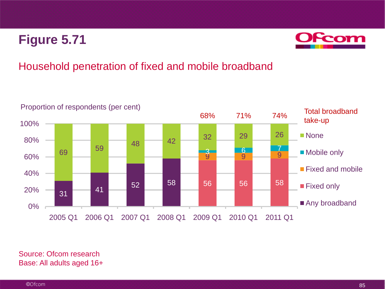

## Household penetration of fixed and mobile broadband



Source: Ofcom research Base: All adults aged 16+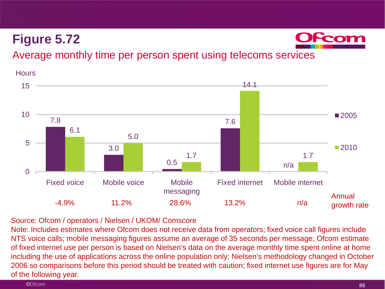

### Average monthly time per person spent using telecoms services

**Hours** 



#### Source: Ofcom / operators / Nielsen / UKOM/ Comscore

Note: Includes estimates where Ofcom does not receive data from operators; fixed voice call figures include NTS voice calls; mobile messaging figures assume an average of 35 seconds per message; Ofcom estimate of fixed internet use per person is based on Nielsen's data on the average monthly time spent online at home including the use of applications across the online population only; Nielsen's methodology changed in October 2006 so comparisons before this period should be treated with caution; fixed internet use figures are for May of the following year.

#### ©Ofcom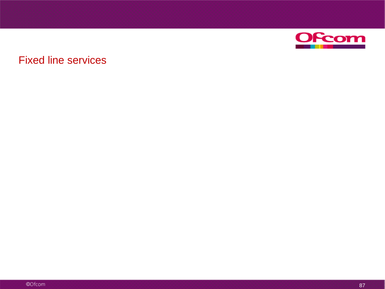

### Fixed line services

©Ofcom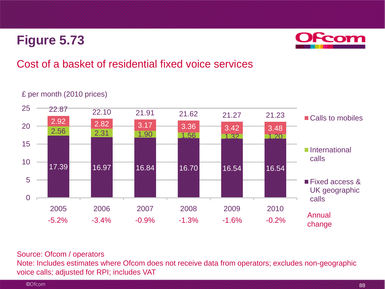

## Cost of a basket of residential fixed voice services

#### £ per month (2010 prices)



#### Source: Ofcom / operators

Note: Includes estimates where Ofcom does not receive data from operators; excludes non-geographic voice calls; adjusted for RPI; includes VAT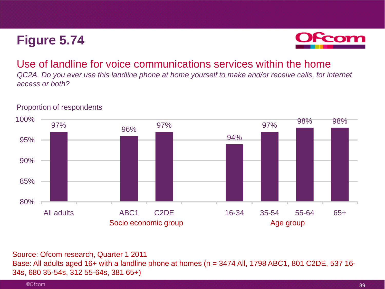

#### Use of landline for voice communications services within the home

*QC2A. Do you ever use this landline phone at home yourself to make and/or receive calls, for internet access or both?* 



#### Proportion of respondents

Source: Ofcom research, Quarter 1 2011 Base: All adults aged 16+ with a landline phone at homes (n = 3474 All, 1798 ABC1, 801 C2DE, 537 16-34s, 680 35-54s, 312 55-64s, 381 65+)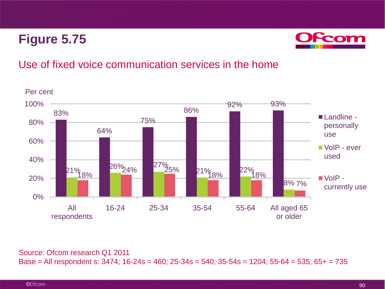

### Use of fixed voice communication services in the home



#### Source: Ofcom research Q1 2011

Base = All respondent s: 3474; 16-24s = 460; 25-34s = 540; 35-54s = 1204; 55-64 = 535; 65+ = 735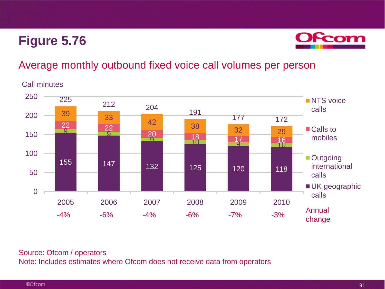

### Average monthly outbound fixed voice call volumes per person

Call minutes



#### Source: Ofcom / operators Note: Includes estimates where Ofcom does not receive data from operators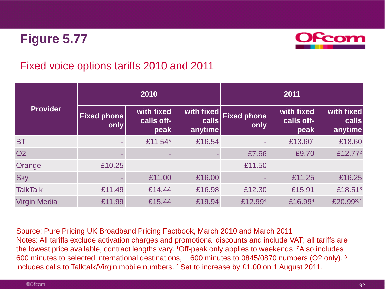

### Fixed voice options tariffs 2010 and 2011

| <b>Provider</b>     |                            | 2010                             |                                | 2011                       |                                  |                                |  |
|---------------------|----------------------------|----------------------------------|--------------------------------|----------------------------|----------------------------------|--------------------------------|--|
|                     | <b>Fixed phone</b><br>only | with fixed<br>calls off-<br>peak | with fixed<br>calls<br>anytime | <b>Fixed phone</b><br>only | with fixed<br>calls off-<br>peak | with fixed<br>calls<br>anytime |  |
| <b>BT</b>           |                            | £11.54 $*$                       | £16.54                         |                            | £13.601                          | £18.60                         |  |
| <b>O2</b>           |                            |                                  |                                | £7.66                      | £9.70                            | £12.772                        |  |
| Orange              | £10.25                     |                                  |                                | £11.50                     |                                  |                                |  |
| <b>Sky</b>          |                            | £11.00                           | £16.00                         |                            | £11.25                           | £16.25                         |  |
| <b>TalkTalk</b>     | £11.49                     | £14.44                           | £16.98                         | £12.30                     | £15.91                           | £18.51 <sup>3</sup>            |  |
| <b>Virgin Media</b> | £11.99                     | £15.44                           | £19.94                         | £12.994                    | £16.994                          | £20.993,4                      |  |

Source: Pure Pricing UK Broadband Pricing Factbook, March 2010 and March 2011 Notes: All tariffs exclude activation charges and promotional discounts and include VAT; all tariffs are the lowest price available, contract lengths vary. <sup>1</sup>Off-peak only applies to weekends <sup>2</sup>Also includes 600 minutes to selected international destinations, + 600 minutes to 0845/0870 numbers (O2 only). ³ includes calls to Talktalk/Virgin mobile numbers. <sup>4</sup> Set to increase by £1.00 on 1 August 2011.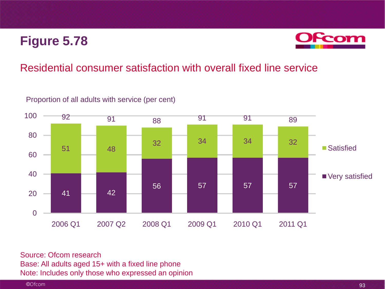

### Residential consumer satisfaction with overall fixed line service



Proportion of all adults with service (per cent)

Source: Ofcom research Base: All adults aged 15+ with a fixed line phone Note: Includes only those who expressed an opinion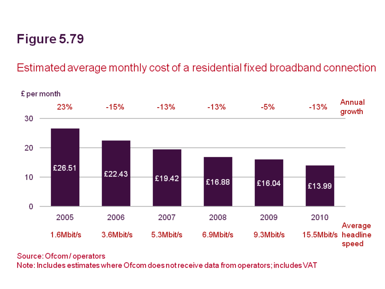# Estimated average monthly cost of a residential fixed broadband connection



#### Source: Ofcom/operators

Note: Includes estimates where Ofcom does not receive data from operators; includes VAT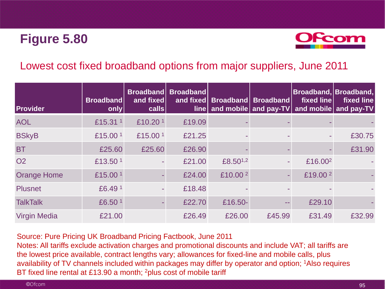

### Lowest cost fixed broadband options from major suppliers, June 2011

| <b>Provider</b>     | <b>Broadband</b><br>only | and fixed<br>cals   | Broadband Broadband<br>and fixed<br>$\mathsf{line}$ |                     | Broadband Broadband | Broadband, Broadband,<br><b>fixed line</b> | fixed line<br>and mobile and pay-TV and mobile and pay-TV |
|---------------------|--------------------------|---------------------|-----------------------------------------------------|---------------------|---------------------|--------------------------------------------|-----------------------------------------------------------|
| <b>AOL</b>          | £15.31 <sup>1</sup>      | £10.20 <sup>1</sup> | £19.09                                              |                     |                     |                                            |                                                           |
| <b>BSkyB</b>        | £15.00 <sup>1</sup>      | £15.00 <sup>1</sup> | £21.25                                              |                     |                     |                                            | £30.75                                                    |
| <b>BT</b>           | £25.60                   | £25.60              | £26.90                                              |                     |                     |                                            | £31.90                                                    |
| <b>O2</b>           | £13.50 <sup>1</sup>      | $\sim$              | £21.00                                              | £8.501,2            |                     | £16.00 <sup>2</sup>                        |                                                           |
| <b>Orange Home</b>  | £15.00 <sup>1</sup>      |                     | £24.00                                              | £10.00 <sup>2</sup> |                     | £19.00 <sup>2</sup>                        |                                                           |
| <b>Plusnet</b>      | £6.491                   |                     | £18.48                                              |                     |                     |                                            |                                                           |
| <b>TalkTalk</b>     | £6.50 <sup>1</sup>       |                     | £22.70                                              | £16.50-             | --                  | £29.10                                     |                                                           |
| <b>Virgin Media</b> | £21.00                   |                     | £26.49                                              | £26.00              | £45.99              | £31.49                                     | £32.99                                                    |

#### Source: Pure Pricing UK Broadband Pricing Factbook, June 2011

Notes: All tariffs exclude activation charges and promotional discounts and include VAT; all tariffs are the lowest price available, contract lengths vary; allowances for fixed-line and mobile calls, plus availability of TV channels included within packages may differ by operator and option; 1Also requires BT fixed line rental at £13.90 a month; <sup>2</sup>plus cost of mobile tariff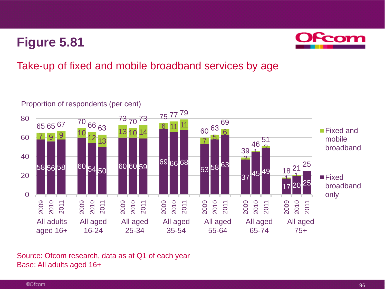

## Take-up of fixed and mobile broadband services by age



Source: Ofcom research, data as at Q1 of each year Base: All adults aged 16+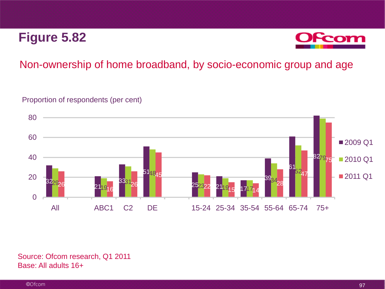

### Non-ownership of home broadband, by socio-economic group and age

#### Proportion of respondents (per cent)



Source: Ofcom research, Q1 2011 Base: All adults 16+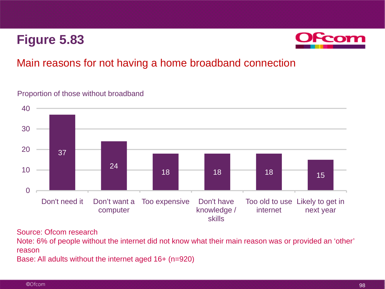

### Main reasons for not having a home broadband connection

#### Proportion of those without broadband



Source: Ofcom research

Note: 6% of people without the internet did not know what their main reason was or provided an 'other' reason

Base: All adults without the internet aged 16+ (n=920)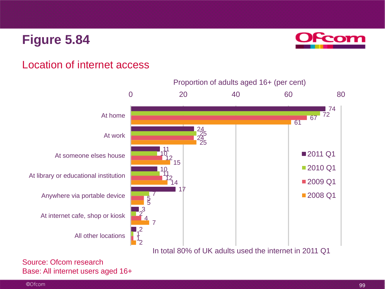

### Location of internet access



Source: Ofcom research Base: All internet users aged 16+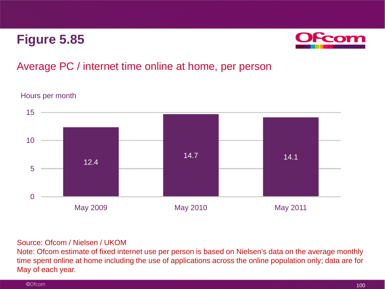

### Average PC / internet time online at home, per person



Hours per month

#### Source: Ofcom / Nielsen / UKOM

Note: Ofcom estimate of fixed internet use per person is based on Nielsen's data on the average monthly time spent online at home including the use of applications across the online population only; data are for May of each year.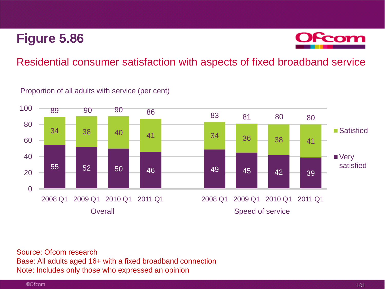

### Residential consumer satisfaction with aspects of fixed broadband service

Proportion of all adults with service (per cent)



Source: Ofcom research Base: All adults aged 16+ with a fixed broadband connection Note: Includes only those who expressed an opinion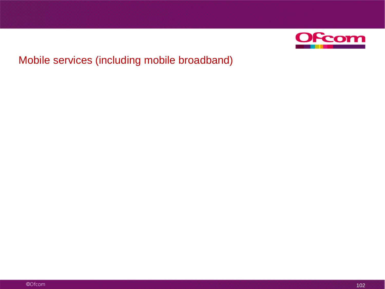

## Mobile services (including mobile broadband)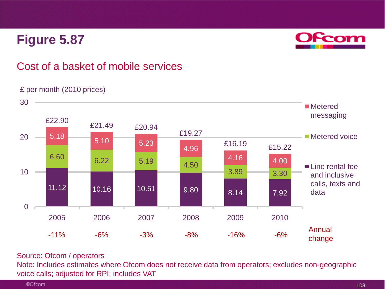

### Cost of a basket of mobile services

#### £ per month (2010 prices)



#### Source: Ofcom / operators

Note: Includes estimates where Ofcom does not receive data from operators; excludes non-geographic voice calls; adjusted for RPI; includes VAT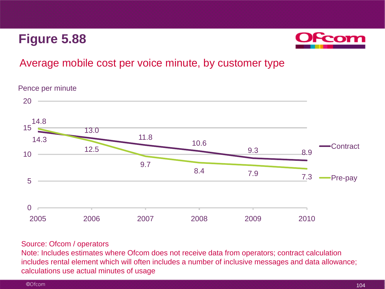

### Average mobile cost per voice minute, by customer type

Pence per minute



#### Source: Ofcom / operators

Note: Includes estimates where Ofcom does not receive data from operators; contract calculation includes rental element which will often includes a number of inclusive messages and data allowance; calculations use actual minutes of usage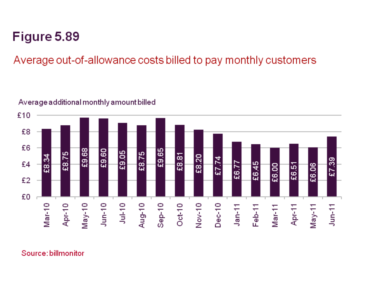# Average out-of-allowance costs billed to pay monthly customers

#### $£10$ £8 £6 £9.68 £9.65 £9.60 £9.05 £8.75 ഥ £8.81 £8.20 E8.7  $27.74$ 39 £4 £6.45 £6.77 £6.06 £6.51 £6.00  $\infty$ 57 £2 £0  $Jul-10$  $Sep-10$  $J$ un-10 Nov-10  $Mar-11$ Apr-10  $May-10$ Aug-10 **Oct-10**  $Dec-10$  $Mar-10$  $Feb-11$  $May-11$  $Jan-11$ Apr-11  $Jun-11$

### Average additional monthly amount billed

Source: billmonitor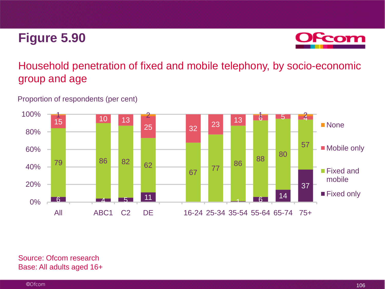

## Household penetration of fixed and mobile telephony, by socio-economic group and age

#### Proportion of respondents (per cent)



Source: Ofcom research Base: All adults aged 16+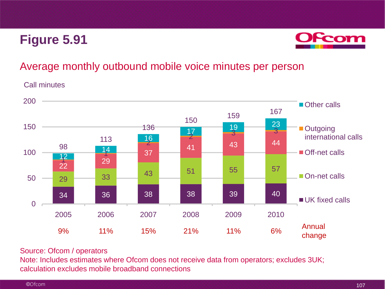

### Average monthly outbound mobile voice minutes per person

#### Call minutes



#### Source: Ofcom / operators

Note: Includes estimates where Ofcom does not receive data from operators; excludes 3UK; calculation excludes mobile broadband connections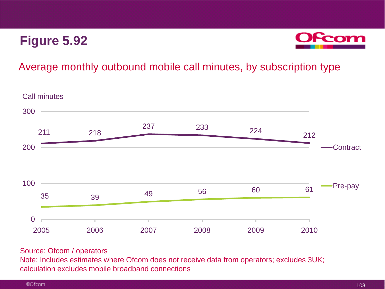

#### Average monthly outbound mobile call minutes, by subscription type



#### Source: Ofcom / operators

Note: Includes estimates where Ofcom does not receive data from operators; excludes 3UK; calculation excludes mobile broadband connections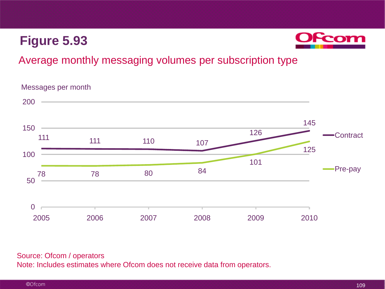

### Average monthly messaging volumes per subscription type

#### 111 110 107 126 145 78 78 80 84 101 125 0 50 100 150 200 2005 2006 2007 2008 2009 2010 Contract Pre-pay Messages per month

#### Source: Ofcom / operators Note: Includes estimates where Ofcom does not receive data from operators.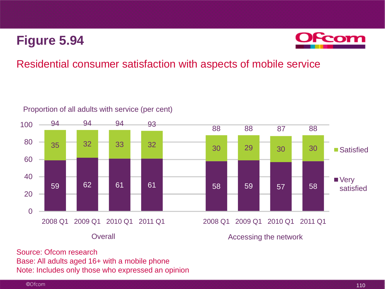

### Residential consumer satisfaction with aspects of mobile service



Proportion of all adults with service (per cent)

Source: Ofcom research Base: All adults aged 16+ with a mobile phone Note: Includes only those who expressed an opinion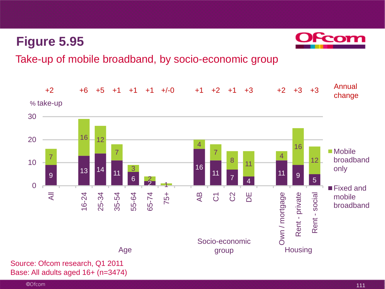

Take-up of mobile broadband, by socio-economic group



Base: All adults aged 16+ (n=3474)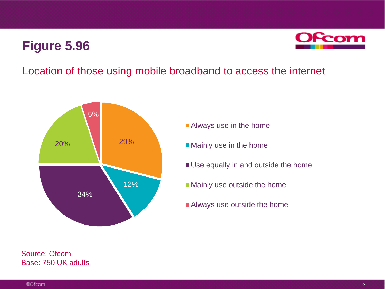

#### Location of those using mobile broadband to access the internet



**Always use in the home** 

- **Mainly use in the home**
- Use equally in and outside the home
- **Mainly use outside the home**
- Always use outside the home

Source: Ofcom Base: 750 UK adults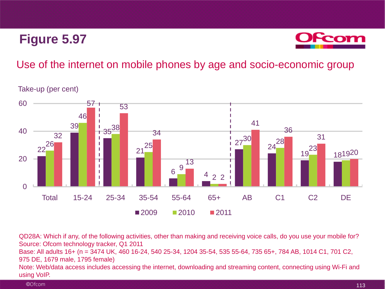

#### Use of the internet on mobile phones by age and socio-economic group

Take-up (per cent)



QD28A: Which if any, of the following activities, other than making and receiving voice calls, do you use your mobile for? Source: Ofcom technology tracker, Q1 2011 Base: All adults 16+ (n = 3474 UK, 460 16-24, 540 25-34, 1204 35-54, 535 55-64, 735 65+, 784 AB, 1014 C1, 701 C2, 975 DE, 1679 male, 1795 female)

Note: Web/data access includes accessing the internet, downloading and streaming content, connecting using Wi-Fi and using VoIP.

©Ofcom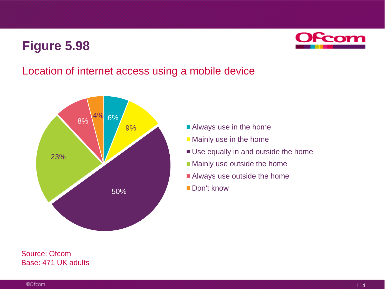

#### Location of internet access using a mobile device



- Always use in the home
- **Mainly use in the home**
- Use equally in and outside the home
- Mainly use outside the home
- Always use outside the home
- Don't know

Source: Ofcom Base: 471 UK adults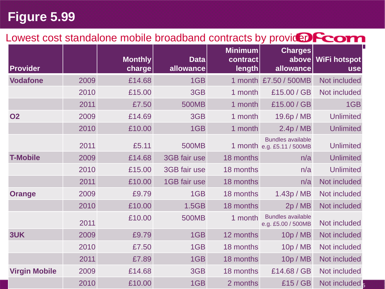### Lowest cost standalone mobile broadband contracts by providence com

| <b>Provider</b>      |      | <b>Monthly</b><br>charge | <b>Data</b><br>allowance | <b>Minimum</b><br><b>contract</b><br>length | <b>Charges</b><br>above<br>allowance                   | WiFi hotspot<br><b>use</b> |
|----------------------|------|--------------------------|--------------------------|---------------------------------------------|--------------------------------------------------------|----------------------------|
| <b>Vodafone</b>      | 2009 | £14.68                   | 1GB                      |                                             | 1 month £7.50 / 500MB                                  | Not included               |
|                      | 2010 | £15.00                   | 3GB                      | 1 month                                     | £15.00 / GB                                            | Not included               |
|                      | 2011 | £7.50                    | <b>500MB</b>             | 1 month                                     | £15.00 / GB                                            | 1GB                        |
| <b>O2</b>            | 2009 | £14.69                   | 3GB                      | 1 month                                     | 19.6p / MB                                             | <b>Unlimited</b>           |
|                      | 2010 | £10.00                   | 1GB                      | 1 month                                     | 2.4p/MB                                                | <b>Unlimited</b>           |
|                      | 2011 | £5.11                    | <b>500MB</b>             |                                             | <b>Bundles available</b><br>1 month e.g. £5.11 / 500MB | <b>Unlimited</b>           |
| <b>T-Mobile</b>      | 2009 | £14.68                   | 3GB fair use             | 18 months                                   | n/a                                                    | <b>Unlimited</b>           |
|                      | 2010 | £15.00                   | 3GB fair use             | 18 months                                   | n/a                                                    | <b>Unlimited</b>           |
|                      | 2011 | £10.00                   | 1GB fair use             | 18 months                                   | n/a                                                    | Not included               |
| <b>Orange</b>        | 2009 | £9.79                    | 1GB                      | 18 months                                   | 1.43p / MB                                             | Not included               |
|                      | 2010 | £10.00                   | 1.5GB                    | 18 months                                   | 2p / MB                                                | Not included               |
|                      | 2011 | £10.00                   | <b>500MB</b>             | 1 month                                     | <b>Bundles available</b><br>e.g. £5.00 / 500MB         | Not included               |
| 3UK                  | 2009 | £9.79                    | 1GB                      | 12 months                                   | 10p / MB                                               | Not included               |
|                      | 2010 | £7.50                    | 1GB                      | 18 months                                   | 10p / MB                                               | Not included               |
|                      | 2011 | £7.89                    | 1GB                      | 18 months                                   | 10p / MB                                               | Not included               |
| <b>Virgin Mobile</b> | 2009 | £14.68                   | 3GB                      | 18 months                                   | £14.68 / GB                                            | Not included               |
|                      | 2010 | £10.00                   | 1GB                      | 2 months                                    | £15/GB                                                 | Not included               |